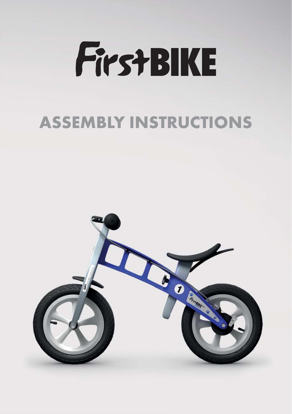

### **ASSEMBLY INSTRUCTIONS**

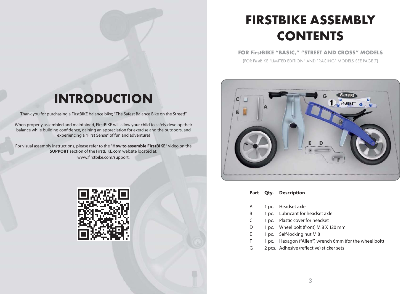# **FIRSTBIKE ASSEMBLY CONTENTS**

**FOR FirstBIKE "BASIC," "STREET AND CROSS" MODELS**

(FOR FirstBIKE "LIMITED EDITION" AND "RACING" MODELS SEE PAGE 7)



- **Part Qty. Description**
- A 1 pc. Headset axle
- B 1 pc. Lubricant for headset axle
- C 1 pc. Plastic cover for headset
- D 1 pc. Wheel bolt (front) M 8 X 120 mm
- E 1 pc. Self-locking nut M 8
- F 1 pc. Hexagon ("Allen") wrench 6mm (for the wheel bolt)
- G 2 pcs. Adhesive (reflective) sticker sets

### **INTRODUCTION**

Thank you for purchasing a FirstBIKE balance bike; "The Safest Balance Bike on the Street!"

When properly assembled and maintained, FirstBIKE will allow your child to safely develop their balance while building confidence, gaining an appreciation for exercise and the outdoors, and experiencing a "First Sense" of fun and adventure!

For visual assembly instructions, please refer to the "**How to assemble FirstBIKE**" video on the **SUPPORT** section of the FirstBIKE.com website located at: www.firstbike.com/support.

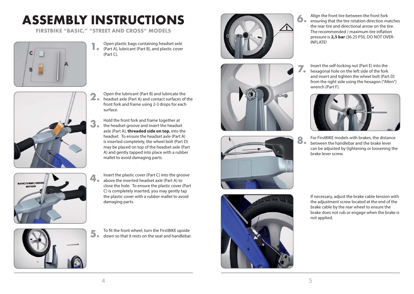# **ASSEMBLY INSTRUCTIONS**

**FIRSTBIKE "BASIC," "STREET AND CROSS" MODELS**



**1.** Open plastic bags containing headset axle<br>(Part A), lubricant (Part B), and plastic cover Open plastic bags containing headset axle (Part C).



- **2.** Open the lubricant (Part B) and lubricate the<br>headset axle (Part A) and contact surfaces of the Open the lubricant (Part B) and lubricate the front fork and frame using 2-3 drops for each surface.
	- Hold the front fork and frame together at the headset groove and insert the headset axle (Part A), **threaded side on top**, into the headset. To ensure the headset axle (Part A) is inserted completely, the wheel bolt (Part D) may be placed on top of the headset axle (Part A) and gently tapped into place with a rubber mallet to avoid damaging parts.



Insert the plastic cover (Part C) into the groove above the inserted headset axle (Part A) to close the hole. To ensure the plastic cover (Part C) is completely inserted, you may gently tap the plastic cover with a rubber mallet to avoid damaging parts.



To fit the front wheel, turn the FirstBIKE upside down so that it rests on the seat and handlebar.









- Align the front tire between the front fork ensuring that the tire rotation direction matches the rear tire and directional arrow on the tire. The recommended / maximum tire inflation pressure is **2,5 bar** (36.25 PSI). DO NOT OVER-INFLATE!
- Insert the self-locking nut (Part E) into the hexagonal hole on the left side of the fork and insert and tighten the wheel bolt (Part D) from the right side using the hexagon ("Allen") wrench (Part F).



**8.** For FirstBIKE models with brakes, the distance<br>**8.** between the handlebar and the brake lever between the handlebar and the brake lever can be adjusted by tightening or loosening the brake lever screw.

> If necessary, adjust the brake cable tension with the adjustment screw located at the end of the brake cable by the rear wheel to ensure the brake does not rub or engage when the brake is not applied.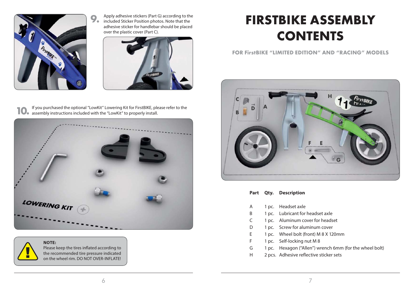

Apply adhesive stickers (Part G) according to the included Sticker Position photos. Note that the adhesive sticker for handlebar should be placed over the plastic cover (Part C).



**10.** If you purchased the optional "LowKit" Lowering Kit for FirstBIKE, plead assembly instructions included with the "LowKit" to properly install. If you purchased the optional "LowKit" Lowering Kit for FirstBIKE, please refer to the



**NOTE:** 

Please keep the tires inflated according to the recommended tire pressure indicated on the wheel rim. DO NOT OVER-INFLATE!

## **FIRSTBIKE ASSEMBLY CONTENTS**

**FOR FirstBIKE "LIMITED EDITION" AND "RACING" MODELS**



- **Part Qty. Description**
- A 1 pc. Headset axle
- B 1 pc. Lubricant for headset axle
- C 1 pc. Aluminum cover for headset
- D 1 pc. Screw for aluminum cover
- E 1 pc. Wheel bolt (front) M 8 X 120mm
- F 1 pc. Self-locking nut M 8
- G 1 pc. Hexagon ("Allen") wrench 6mm (for the wheel bolt)
- H 2 pcs. Adhesive reflective sticker sets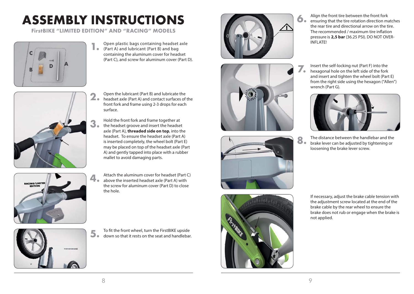# **ASSEMBLY INSTRUCTIONS**

**FirstBIKE "LIMITED EDITION" AND "RACING" MODELS**





- **1.** Open plastic bags containing headset<br>(Part A) and lubricant (Part B) and bag Open plastic bags containing headset axle containing the aluminum cover for headset (Part C), and screw for aluminum cover (Part D).
- **2.** Open the lubricant (Part B) and lubricate the<br>headset axle (Part A) and contact surfaces of the Open the lubricant (Part B) and lubricate the front fork and frame using 2-3 drops for each surface.
	- Hold the front fork and frame together at the headset groove and insert the headset axle (Part A), **threaded side on top**, into the headset. To ensure the headset axle (Part A) is inserted completely, the wheel bolt (Part E) may be placed on top of the headset axle (Part A) and gently tapped into place with a rubber mallet to avoid damaging parts.



Attach the aluminum cover for headset (Part C) above the inserted headset axle (Part A) with the screw for aluminum cover (Part D) to close the hole.



To fit the front wheel, turn the FirstBIKE upside down so that it rests on the seat and handlebar.









- Align the front tire between the front fork ensuring that the tire rotation direction matches the rear tire and directional arrow on the tire. The recommended / maximum tire inflation pressure is **2,5 bar** (36.25 PSI). DO NOT OVER-INFLATE!
- Insert the self-locking nut (Part F) into the hexagonal hole on the left side of the fork and insert and tighten the wheel bolt (Part E) from the right side using the hexagon ("Allen") wrench (Part G).



**8.** The distance between the handlebar and the brake lever can be adjusted by tightening or brake lever can be adjusted by tightening or loosening the brake lever screw.

> If necessary, adjust the brake cable tension with the adjustment screw located at the end of the brake cable by the rear wheel to ensure the brake does not rub or engage when the brake is not applied.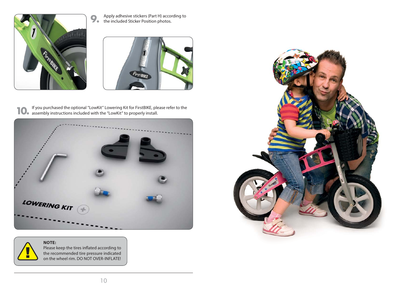

**9.** Apply adhesive stickers (Part H) according to the included Sticker Position photos. the included Sticker Position photos.



**10.** If you purchased the optional "LowKit" Lowering Kit for FirstBIKE, pleader assembly instructions included with the "LowKit" to properly install. If you purchased the optional "LowKit" Lowering Kit for FirstBIKE, please refer to the



### **NOTE:**  n

Please keep the tires inflated according to the recommended tire pressure indicated on the wheel rim. DO NOT OVER-INFLATE!

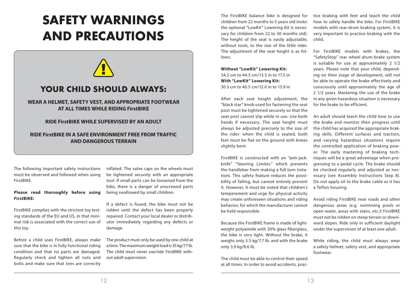### **SAFETY WARNINGS AND PRECAUTIONS**

### **YOUR CHILD SHOULD ALWAYS:**

### **WEAR A HELMET, SAFETY VEST, AND APPROPRIATE FOOTWEAR AT ALL TIMES WHILE RIDING FirstBIKE**

#### **RIDE FirstBIKE WHILE SUPERVISED BY AN ADULT**

### **RIDE FirstBIKE IN A SAFE ENVIRONMENT FREE FROM TRAFFIC AND DANGEROUS TERRAIN**

The following important safety instructions must be observed and followed when using FirstBIKE.

#### **Please read thoroughly before using FirstBIKE:**

FirstBIKE complies with the strictest toy testing standards of the EU and US, in that minimal risk is associated with the correct use of this toy.

Before a child uses FirstBIKE, always make sure that the bike is in fully functional riding condition and that no parts are damaged. Regularly check and tighten all nuts and bolts and make sure that tires are correctly inflated. The valve caps on the wheels must be tightened securely with an appropriate tool. If small parts can be loosened from the bike, there is a danger of unscrewed parts being swallowed by small children.

If a defect is found, the bike must not be ridden until the defect has been properly repaired. Contact your local dealer or distributor immediately regarding any defects or damage.

The product must only be used by one child at a time. The maximum weight load is 35 kg/77 lb. The child must never use/ride FirstBIKE without adult supervision.

The FirstBIKE balance bike is designed for children from 22 months to 5 years old (note: the optional "LowKit" Lowering Kit is necessary for children from 22 to 30 months old). The height of the seat is easily adjustable, without tools, to the size of the little rider. The adjustment of the seat height is as follows:

**Without "LowKit" Lowering Kit:** 34.5 cm to 44.5 cm/13.5 in to 17.5 in **With "LowKit" Lowering Kit:** 30.5 cm to 40.5 cm/12.0 in to 15.9 in

After each seat height adjustment, the "black star" knob used for fastening the seat post must be tightened securely so that the seat post cannot slip while in use. Use both hands if necessary. The seat height must always be adjusted precisely to the size of the rider: when the child is seated, both feet must be flat on the ground with knees slightly bent.

FirstBIKE is constructed with an "anti-jackknife" "Steering Limiter," which prevents the handlebar from making a full turn (rotation). This safety feature reduces the possibility of falling, but cannot entirely prevent it. However, it must be noted that children's temperament and urge for physical activity may create unforeseen situations and riding behavior, for which the manufacturer cannot be held responsible.

Because the FirstBIKE frame is made of lightweight polyamide with 30% glass fiberglass, the bike is very light. Without the brake, it weighs only 3.5 kg/7.7 lb. and with the brake only 3.9 kg/8.6 lb.

The child must be able to control their speed at all times. In order to avoid accidents, practice braking with feet and teach the child how to safely handle the bike. For FirstBIKE models with rear-drum braking system, it is very important to practice braking with the child.

For FirstBIKE models with brakes, the "SafetyStop" rear wheel drum-brake system is suitable for use at approximately 2 1/2 years. Please note that your child, depending on their stage of development, will not be able to operate the brake effectively and consciously until approximately the age of 2 1/2 years. Mastering the use of the brake in any given hazardous situation is necessary for the brake to be efficient.

An adult should teach the child how to use the brake and monitor their progress until the child has acquired the appropriate braking skills. Different surfaces and traction, and varying hazardous situations require the controlled application of braking power. The early mastering of braking techniques will be a great advantage when progressing to a pedal cycle. The brake should be checked regularly and adjusted as necessary (see Assembly Instructions Step 8). Do not apply oil to the brake cable as it has a Teflon housing.

Avoid riding FirstBIKE near roads and other dangerous areas (e.g. swimming pools or open water, areas with stairs, etc.)! FirstBIKE must not be ridden on steep terrain or downward slopes. Ride only in sufficient daylight under the supervision of at least one adult.

While riding, the child must always wear a safety helmet, safety vest, and appropriate footwear.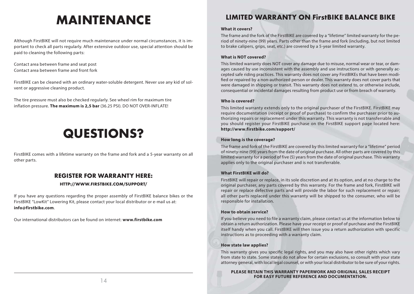### **MAINTENANCE**

Although FirstBIKE will not require much maintenance under normal circumstances, it is important to check all parts regularly. After extensive outdoor use, special attention should be paid to cleaning the following parts:

Contact area between frame and seat post Contact area between frame and front fork

FirstBIKE can be cleaned with an ordinary water-soluble detergent. Never use any kid of solvent or aggressive cleaning product.

The tire pressure must also be checked regularly. See wheel rim for maximum tire inflation pressure. **The maximum is 2,5 bar** (36.25 PSI). DO NOT OVER-INFLATE!

### **QUESTIONS?**

FirstBIKE comes with a lifetime warranty on the frame and fork and a 5-year warranty on all other parts.

### **REGISTER FOR WARRANTY HERE:**

### **HTTP://WWW.FIRSTBIKE.COM/SUPPORT/**

If you have any questions regarding the proper assembly of FirstBIKE balance bikes or the FirstBIKE "LowKit" Lowering Kit, please contact your local distributor or e-mail us at: **info@firstbike.com**.

Our international distributors can be found on internet: **www.firstbike.com**

### **LIMITED WARRANTY ON FirstBIKE BALANCE BIKE**

#### **What it covers?**

The frame and the fork of the FirstBIKE are covered by a "lifetime" limited warranty for the period of ninety-nine (99) years. Parts other than the frame and fork (including, but not limited to brake calipers, grips, seat, etc.) are covered by a 5-year limited warranty.

#### **What is NOT covered?**

This limited warranty does NOT cover any damage due to misuse, normal wear or tear, or damages caused by use inconsistent with the assembly and use instructions or with generally accepted safe riding practices. This warranty does not cover any FirstBIKEs that have been modified or repaired by a non-authorized person or dealer. This warranty does not cover parts that were damaged in shipping or transit. This warranty does not extend to, or otherwise include, consequential or incidental damages resulting from product use or from breach of warranty.

#### **Who is covered?**

This limited warranty extends only to the original purchaser of the FirstBIKE. FirstBIKE may require documentation (receipt or proof of purchase) to confirm the purchaser prior to authorizing repairs or replacement under this warranty. This warranty is not transferrable and you should register your FirstBIKE purchase on the FirstBIKE support page located here: **http://www.firstbike.com/support/** 

#### **How long is the coverage?**

The frame and fork of the FirstBIKE are covered by this limited warranty for a "lifetime" period of ninety-nine (99) years from the date of original purchase. All other parts are covered by this limited warranty for a period of five (5) years from the date of original purchase. This warranty applies only to the original purchaser and is not transferrable.

### **What FirstBIKE will do?**

FirstBIKE will repair or replace, in its sole discretion and at its option, and at no charge to the original purchaser, any parts covered by this warranty. For the frame and fork, FirstBIKE will repair or replace defective parts and will provide the labor for such replacement or repair; all other parts replaced under this warranty will be shipped to the consumer, who will be responsible for installation.

#### **How to obtain service?**

If you believe you need to file a warranty claim, please contact us at the information below to obtain a return authorization. Please have your receipt or proof of purchase and the FirstBIKE itself handy when you call. FirstBIKE will then issue you a return authorization with specific instructions as to proceeding with a warranty claim.

#### **How state law applies?**

This warranty gives you specific legal rights, and you may also have other rights which vary from state to state. Some states do not allow for certain exclusions, so consult with your state attorney general, with local legal counsel, or with your local distributor to be sure of your rights.

**PLEASE RETAIN THIS WARRANTY PAPERWORK AND ORIGINAL SALES RECEIPT FOR EASY FUTURE REFERENCE AND DOCUMENTATION.**